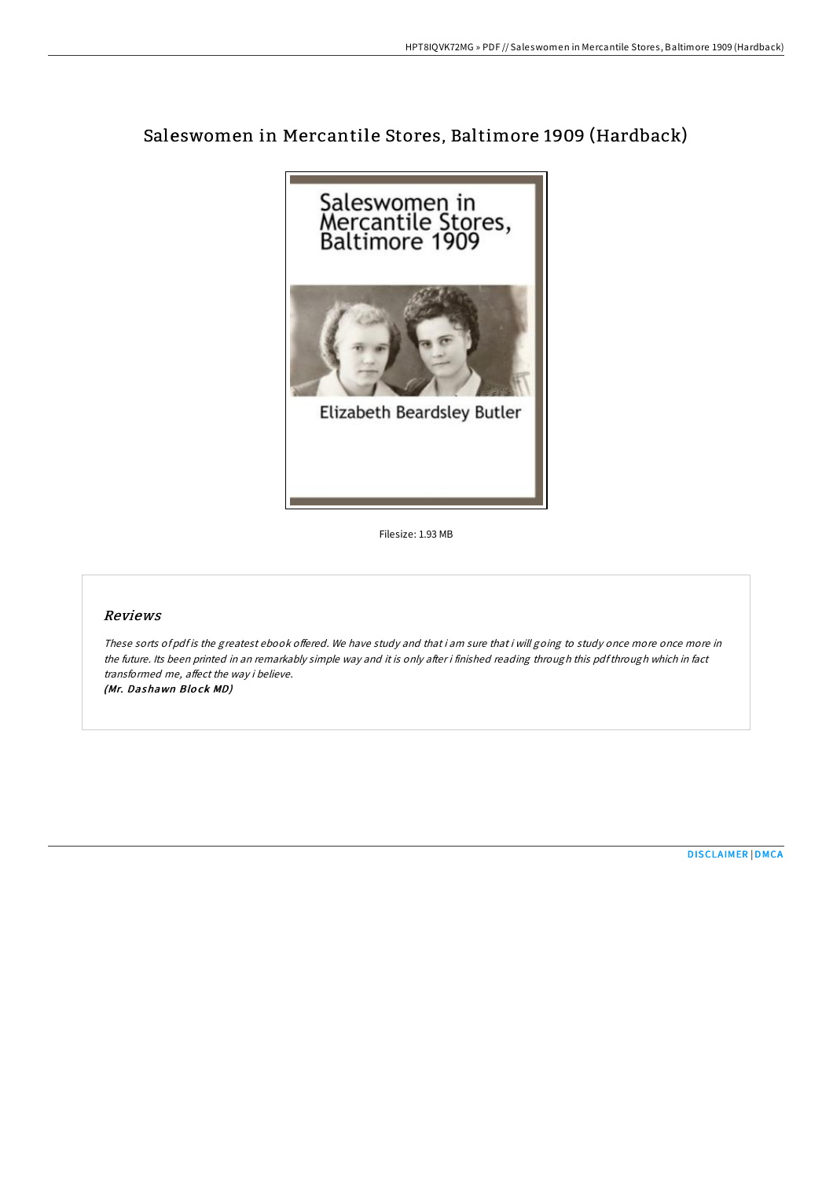# Saleswomen in Mercantile Stores, Baltimore 1909 (Hardback)



Filesize: 1.93 MB

### Reviews

These sorts of pdf is the greatest ebook offered. We have study and that i am sure that i will going to study once more once more in the future. Its been printed in an remarkably simple way and it is only after i finished reading through this pdfthrough which in fact transformed me, affect the way i believe. (Mr. Dashawn Blo ck MD)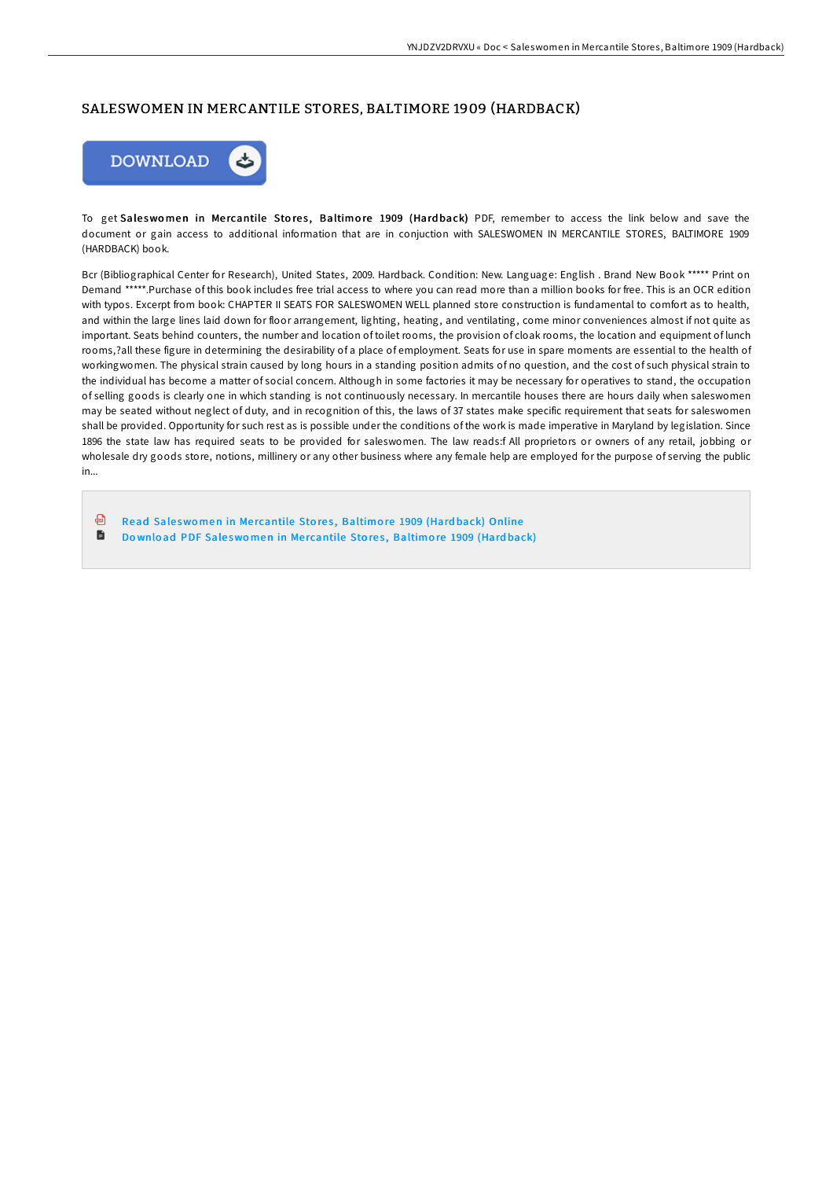### SALESWOMEN IN MERCANTILE STORES, BALTIMORE 1909 (HARDBACK)



To get Saleswomen in Mercantile Stores, Baltimore 1909 (Hardback) PDF, remember to access the link below and save the document or gain access to additional information that are in conjuction with SALESWOMEN IN MERCANTILE STORES, BALTIMORE 1909 (HARDBACK) book.

Bcr (Bibliographical Center for Research), United States, 2009. Hardback. Condition: New. Language: English . Brand New Book \*\*\*\*\* Print on Demand \*\*\*\*\*.Purchase of this book includes free trial access to where you can read more than a million books for free. This is an OCR edition with typos. Excerpt from book: CHAPTER II SEATS FOR SALESWOMEN WELL planned store construction is fundamental to comfort as to health, and within the large lines laid down for floor arrangement, lighting, heating, and ventilating, come minor conveniences almost if not quite as important. Seats behind counters, the number and location of toilet rooms, the provision of cloak rooms, the location and equipment of lunch rooms,?all these figure in determining the desirability of a place of employment. Seats for use in spare moments are essential to the health of workingwomen. The physical strain caused by long hours in a standing position admits of no question, and the cost of such physical strain to the individual has become a matter of social concern. Although in some factories it may be necessary for operatives to stand, the occupation of selling goods is clearly one in which standing is not continuously necessary. In mercantile houses there are hours daily when saleswomen may be seated without neglect of duty, and in recognition of this, the laws of 37 states make specific requirement that seats for saleswomen shall be provided. Opportunity for such rest as is possible under the conditions of the work is made imperative in Maryland by legislation. Since 1896 the state law has required seats to be provided for saleswomen. The law reads:f All proprietors or owners of any retail, jobbing or wholesale dry goods store, notions, millinery or any other business where any female help are employed for the purpose of serving the public in...

கி Read Saleswomen in Mercantile Stores, [Baltimo](http://almighty24.tech/saleswomen-in-mercantile-stores-baltimore-1909-h.html)re 1909 (Hardback) Online 旨 Download PDF Saleswomen in Mercantile Stores, [Baltimo](http://almighty24.tech/saleswomen-in-mercantile-stores-baltimore-1909-h.html)re 1909 (Hardback)